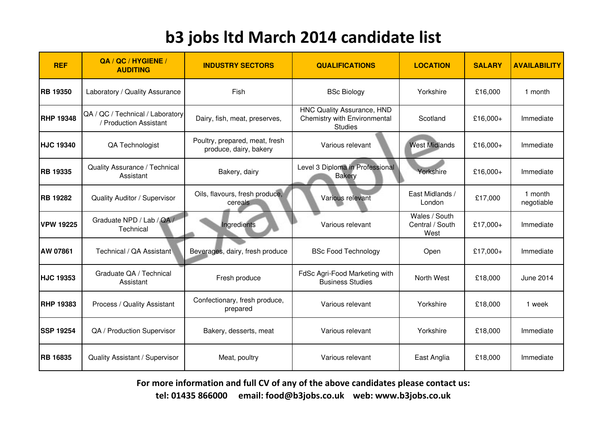| <b>REF</b>       | QA / QC / HYGIENE /<br><b>AUDITING</b>                     | <b>INDUSTRY SECTORS</b>                                  | <b>QUALIFICATIONS</b>                                                        | <b>LOCATION</b>                          | <b>SALARY</b> | <b>AVAILABILITY</b>   |
|------------------|------------------------------------------------------------|----------------------------------------------------------|------------------------------------------------------------------------------|------------------------------------------|---------------|-----------------------|
| <b>RB 19350</b>  | Laboratory / Quality Assurance                             | Fish                                                     | <b>BSc Biology</b>                                                           | Yorkshire                                | £16,000       | 1 month               |
| <b>RHP 19348</b> | QA / QC / Technical / Laboratory<br>/ Production Assistant | Dairy, fish, meat, preserves,                            | HNC Quality Assurance, HND<br>Chemistry with Environmental<br><b>Studies</b> | Scotland                                 | £16,000+      | Immediate             |
| <b>HJC 19340</b> | QA Technologist                                            | Poultry, prepared, meat, fresh<br>produce, dairy, bakery | Various relevant                                                             | <b>West Midlands</b>                     | £16,000+      | Immediate             |
| <b>RB 19335</b>  | Quality Assurance / Technical<br>Assistant                 | Bakery, dairy                                            | Level 3 Diploma in Professional<br><b>Bakery</b>                             | Yorkshire                                | £16,000+      | Immediate             |
| <b>RB 19282</b>  | Quality Auditor / Supervisor                               | Oils, flavours, fresh produce,<br>cereals                | Various relevant                                                             | East Midlands /<br>London                | £17,000       | 1 month<br>negotiable |
| <b>VPW 19225</b> | Graduate NPD / Lab / QA /<br>Technical                     | Ingredients                                              | Various relevant                                                             | Wales / South<br>Central / South<br>West | £17,000+      | Immediate             |
| <b>AW 07861</b>  | Technical / QA Assistant                                   | Beverages, dairy, fresh produce                          | <b>BSc Food Technology</b>                                                   | Open                                     | £17,000+      | Immediate             |
| <b>HJC 19353</b> | Graduate QA / Technical<br>Assistant                       | Fresh produce                                            | FdSc Agri-Food Marketing with<br><b>Business Studies</b>                     | North West                               | £18,000       | June 2014             |
| <b>RHP 19383</b> | Process / Quality Assistant                                | Confectionary, fresh produce,<br>prepared                | Various relevant                                                             | Yorkshire                                | £18,000       | 1 week                |
| <b>SSP 19254</b> | QA / Production Supervisor                                 | Bakery, desserts, meat                                   | Various relevant                                                             | Yorkshire                                | £18,000       | Immediate             |
| <b>RB 16835</b>  | Quality Assistant / Supervisor                             | Meat, poultry                                            | Various relevant                                                             | East Anglia                              | £18,000       | Immediate             |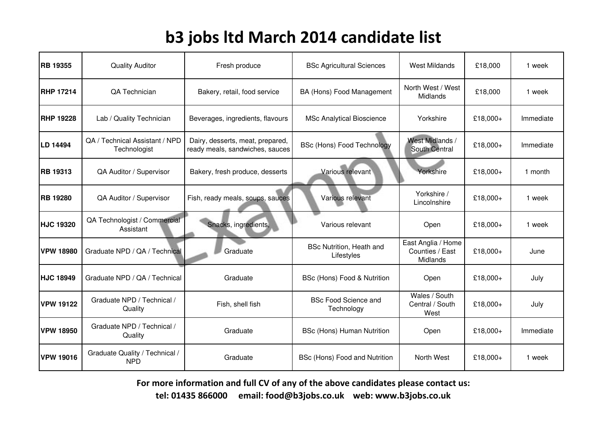| <b>RB 19355</b>  | <b>Quality Auditor</b>                         | Fresh produce                                                       | <b>BSc Agricultural Sciences</b>              | <b>West Mildands</b>                              | £18,000  | 1 week    |
|------------------|------------------------------------------------|---------------------------------------------------------------------|-----------------------------------------------|---------------------------------------------------|----------|-----------|
| <b>RHP 17214</b> | <b>QA Technician</b>                           | Bakery, retail, food service                                        | BA (Hons) Food Management                     | North West / West<br>Midlands                     | £18,000  | 1 week    |
| <b>RHP 19228</b> | Lab / Quality Technician                       | Beverages, ingredients, flavours                                    | <b>MSc Analytical Bioscience</b>              | Yorkshire                                         | £18,000+ | Immediate |
| LD 14494         | QA / Technical Assistant / NPD<br>Technologist | Dairy, desserts, meat, prepared,<br>ready meals, sandwiches, sauces | <b>BSc (Hons) Food Technology</b>             | <b>West Midlands /</b><br><b>South Central</b>    | £18,000+ | Immediate |
| <b>RB 19313</b>  | QA Auditor / Supervisor                        | Bakery, fresh produce, desserts                                     | Various relevant                              | Yorkshire                                         | £18,000+ | 1 month   |
| <b>RB 19280</b>  | QA Auditor / Supervisor                        | Fish, ready meals, soups, sauces                                    | Various relevant                              | Yorkshire /<br>Lincolnshire                       | £18,000+ | 1 week    |
| <b>HJC 19320</b> | QA Technologist / Commercial<br>Assistant      | Snacks, ingredients,                                                | Various relevant                              | Open                                              | £18,000+ | 1 week    |
| <b>VPW 18980</b> | Graduate NPD / QA / Technical                  | Graduate                                                            | <b>BSc Nutrition, Heath and</b><br>Lifestyles | East Anglia / Home<br>Counties / East<br>Midlands | £18,000+ | June      |
| <b>HJC 18949</b> | Graduate NPD / QA / Technical                  | Graduate                                                            | BSc (Hons) Food & Nutrition                   | Open                                              | £18,000+ | July      |
| <b>VPW 19122</b> | Graduate NPD / Technical /<br>Quality          | Fish, shell fish                                                    | <b>BSc Food Science and</b><br>Technology     | Wales / South<br>Central / South<br>West          | £18,000+ | July      |
| <b>VPW 18950</b> | Graduate NPD / Technical /<br>Quality          | Graduate                                                            | <b>BSc (Hons) Human Nutrition</b>             | Open                                              | £18,000+ | Immediate |
| <b>VPW 19016</b> | Graduate Quality / Technical /<br><b>NPD</b>   | Graduate                                                            | BSc (Hons) Food and Nutrition                 | North West                                        | £18,000+ | 1 week    |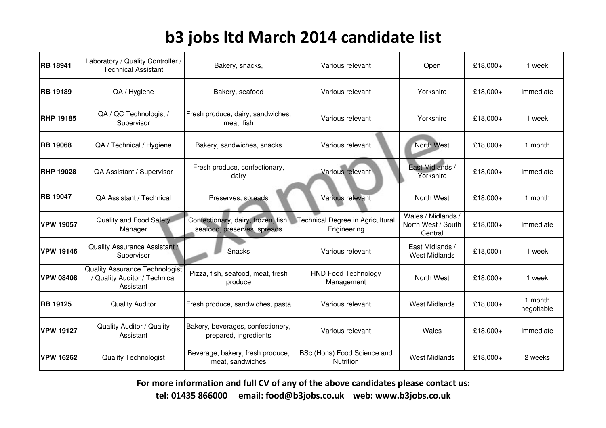| <b>RB 18941</b>  | Laboratory / Quality Controller /<br><b>Technical Assistant</b>              | Bakery, snacks,                                                    | Various relevant                                | Open                                                | £18,000+ | 1 week                |
|------------------|------------------------------------------------------------------------------|--------------------------------------------------------------------|-------------------------------------------------|-----------------------------------------------------|----------|-----------------------|
| <b>RB 19189</b>  | QA / Hygiene                                                                 | Bakery, seafood                                                    | Various relevant                                | Yorkshire                                           | £18,000+ | Immediate             |
| <b>RHP 19185</b> | QA / QC Technologist /<br>Supervisor                                         | Fresh produce, dairy, sandwiches,<br>meat, fish                    | Various relevant                                | Yorkshire                                           | £18,000+ | 1 week                |
| <b>RB 19068</b>  | QA / Technical / Hygiene                                                     | Bakery, sandwiches, snacks                                         | Various relevant                                | <b>North West</b>                                   | £18,000+ | 1 month               |
| <b>RHP 19028</b> | QA Assistant / Supervisor                                                    | Fresh produce, confectionary,<br>dairy                             | Various relevant                                | East Midlands /<br>Yorkshire                        | £18,000+ | Immediate             |
| <b>RB 19047</b>  | QA Assistant / Technical                                                     | Preserves, spreads                                                 | Various relevant                                | North West                                          | £18,000+ | 1 month               |
| <b>VPW 19057</b> | Quality and Food Safety<br>Manager                                           | Confectionary, dairy, frozen, fish,<br>seafood, preserves, spreads | Technical Degree in Agricultural<br>Engineering | Wales / Midlands /<br>North West / South<br>Central | £18,000+ | Immediate             |
| <b>VPW 19146</b> | <b>Quality Assurance Assistant /</b><br>Supervisor                           | Snacks                                                             | Various relevant                                | East Midlands /<br><b>West Midlands</b>             | £18,000+ | 1 week                |
| <b>VPW 08408</b> | Quality Assurance Technologist<br>/ Quality Auditor / Technical<br>Assistant | Pizza, fish, seafood, meat, fresh<br>produce                       | <b>HND Food Technology</b><br>Management        | North West                                          | £18,000+ | 1 week                |
| <b>RB 19125</b>  | <b>Quality Auditor</b>                                                       | Fresh produce, sandwiches, pasta                                   | Various relevant                                | <b>West Midlands</b>                                | £18,000+ | 1 month<br>negotiable |
| <b>VPW 19127</b> | <b>Quality Auditor / Quality</b><br>Assistant                                | Bakery, beverages, confectionery,<br>prepared, ingredients         | Various relevant                                | Wales                                               | £18,000+ | Immediate             |
| <b>VPW 16262</b> | <b>Quality Technologist</b>                                                  | Beverage, bakery, fresh produce,<br>meat, sandwiches               | BSc (Hons) Food Science and<br><b>Nutrition</b> | <b>West Midlands</b>                                | £18,000+ | 2 weeks               |

For more information and full CV of any of the above candidates please contact us:

tel: 01435 866000 email: food@b3jobs.co.uk web: www.b3jobs.co.uk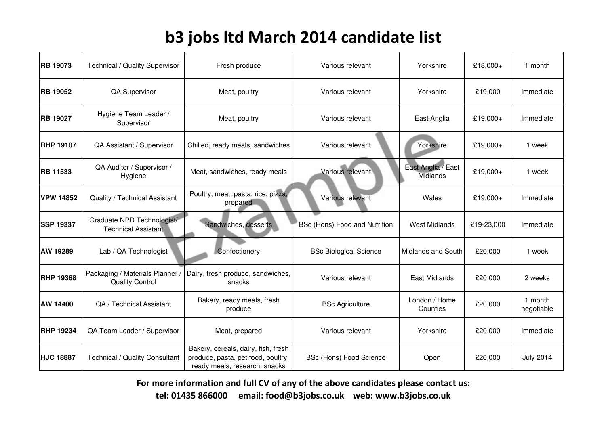| <b>RB 19073</b>  | <b>Technical / Quality Supervisor</b>                    | Fresh produce                                                                                              | Various relevant               | Yorkshire                             | £18,000+   | 1 month               |
|------------------|----------------------------------------------------------|------------------------------------------------------------------------------------------------------------|--------------------------------|---------------------------------------|------------|-----------------------|
| <b>RB 19052</b>  | QA Supervisor                                            | Meat, poultry                                                                                              | Various relevant               | Yorkshire                             | £19,000    | Immediate             |
| <b>RB 19027</b>  | Hygiene Team Leader /<br>Supervisor                      | Meat, poultry                                                                                              | Various relevant               | East Anglia                           | £19,000+   | Immediate             |
| <b>RHP 19107</b> | QA Assistant / Supervisor                                | Chilled, ready meals, sandwiches                                                                           | Various relevant               | Yorkshire                             | £19,000+   | 1 week                |
| <b>RB 11533</b>  | QA Auditor / Supervisor /<br>Hygiene                     | Meat, sandwiches, ready meals                                                                              | Various relevant               | East Anglia / East<br><b>Midlands</b> | £19,000+   | 1 week                |
| <b>VPW 14852</b> | <b>Quality / Technical Assistant</b>                     | Poultry, meat, pasta, rice, pizza,<br>prepared                                                             | Various relevant               | Wales                                 | £19,000+   | Immediate             |
| <b>SSP 19337</b> | Graduate NPD Technologist/<br><b>Technical Assistant</b> | Sandwiches, desserts                                                                                       | BSc (Hons) Food and Nutrition  | <b>West Midlands</b>                  | £19-23,000 | Immediate             |
| AW 19289         | Lab / QA Technologist                                    | Confectionery                                                                                              | <b>BSc Biological Science</b>  | <b>Midlands and South</b>             | £20,000    | 1 week                |
| <b>RHP 19368</b> | Packaging / Materials Planner<br><b>Quality Control</b>  | Dairy, fresh produce, sandwiches,<br>snacks                                                                | Various relevant               | <b>East Midlands</b>                  | £20,000    | 2 weeks               |
| AW 14400         | QA / Technical Assistant                                 | Bakery, ready meals, fresh<br>produce                                                                      | <b>BSc Agriculture</b>         | London / Home<br>Counties             | £20,000    | 1 month<br>negotiable |
| <b>RHP 19234</b> | QA Team Leader / Supervisor                              | Meat, prepared                                                                                             | Various relevant               | Yorkshire                             | £20,000    | Immediate             |
| <b>HJC 18887</b> | <b>Technical / Quality Consultant</b>                    | Bakery, cereals, dairy, fish, fresh<br>produce, pasta, pet food, poultry,<br>ready meals, research, snacks | <b>BSc (Hons) Food Science</b> | Open                                  | £20,000    | <b>July 2014</b>      |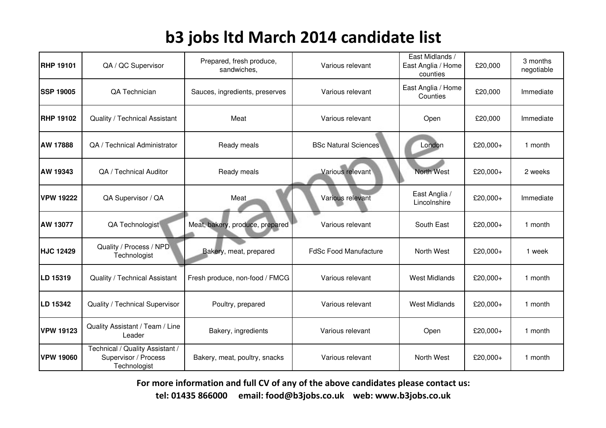| <b>RHP 19101</b> | QA / QC Supervisor                                                      | Prepared, fresh produce,<br>sandwiches, | Various relevant             | East Midlands /<br>East Anglia / Home<br>counties | £20,000  | 3 months<br>negotiable |
|------------------|-------------------------------------------------------------------------|-----------------------------------------|------------------------------|---------------------------------------------------|----------|------------------------|
| <b>SSP 19005</b> | QA Technician                                                           | Sauces, ingredients, preserves          | Various relevant             | East Anglia / Home<br>Counties                    | £20,000  | Immediate              |
| <b>RHP 19102</b> | Quality / Technical Assistant                                           | Meat                                    | Various relevant             | Open                                              | £20,000  | Immediate              |
| <b>AW 17888</b>  | QA / Technical Administrator                                            | Ready meals                             | <b>BSc Natural Sciences</b>  | London                                            | £20,000+ | 1 month                |
| AW 19343         | QA / Technical Auditor                                                  | Ready meals                             | Various relevant             | <b>North West</b>                                 | £20,000+ | 2 weeks                |
| <b>VPW 19222</b> | QA Supervisor / QA                                                      | Meat                                    | Various relevant             | East Anglia /<br>Lincolnshire                     | £20,000+ | Immediate              |
| <b>AW 13077</b>  | QA Technologist                                                         | Meat, bakery, produce, prepared         | Various relevant             | South East                                        | £20,000+ | 1 month                |
| <b>HJC 12429</b> | Quality / Process / NPD<br>Technologist                                 | Bakery, meat, prepared                  | <b>FdSc Food Manufacture</b> | North West                                        | £20,000+ | 1 week                 |
| LD 15319         | Quality / Technical Assistant                                           | Fresh produce, non-food / FMCG          | Various relevant             | <b>West Midlands</b>                              | £20,000+ | 1 month                |
| LD 15342         | Quality / Technical Supervisor                                          | Poultry, prepared                       | Various relevant             | <b>West Midlands</b>                              | £20,000+ | 1 month                |
| <b>VPW 19123</b> | Quality Assistant / Team / Line<br>Leader                               | Bakery, ingredients                     | Various relevant             | Open                                              | £20,000+ | 1 month                |
| <b>VPW 19060</b> | Technical / Quality Assistant /<br>Supervisor / Process<br>Technologist | Bakery, meat, poultry, snacks           | Various relevant             | North West                                        | £20,000+ | 1 month                |